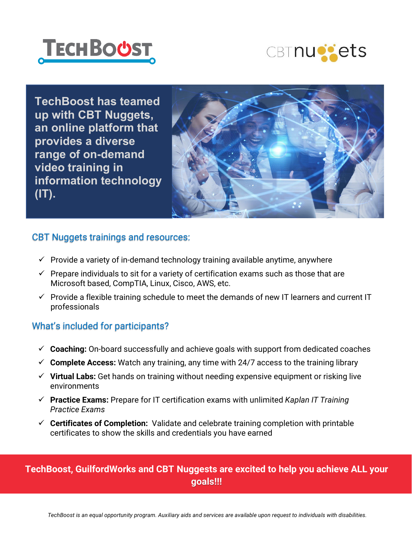



**TechBoost has teamed up with CBT Nuggets, an online platform that provides a diverse range of on-demand video training in information technology (IT).**



#### CBT Nuggets trainings and resources:

- $\checkmark$  Provide a variety of in-demand technology training available anytime, anywhere
- $\checkmark$  Prepare individuals to sit for a variety of certification exams such as those that are Microsoft based, CompTIA, Linux, Cisco, AWS, etc.
- $\checkmark$  Provide a flexible training schedule to meet the demands of new IT learners and current IT professionals

#### What's included for participants?

- **Coaching:** On-board successfully and achieve goals with support from dedicated coaches
- $\checkmark$  Complete Access: Watch any training, any time with 24/7 access to the training library
- **Virtual Labs:** Get hands on training without needing expensive equipment or risking live environments
- **Practice Exams:** Prepare for IT certification exams with unlimited *Kaplan IT Training Practice Exams*
- **Certificates of Completion:** Validate and celebrate training completion with printable certificates to show the skills and credentials you have earned

### **TechBoost, GuilfordWorks and CBT Nuggests are excited to help you achieve ALL your goals!!!**